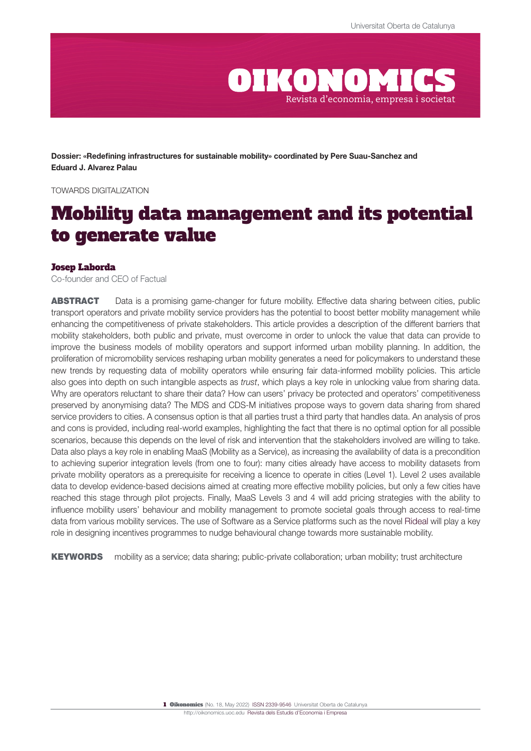

Dossier: «Redefining infrastructures for sustainable mobility» coordinated by Pere Suau-Sanchez and Eduard J. Alvarez Palau

TOWARDS DIGITALIZATION

# Mobility data management and its potential to generate value

#### Josep Laborda

Co-founder and CEO of Factual

ABSTRACT Data is a promising game-changer for future mobility. Effective data sharing between cities, public transport operators and private mobility service providers has the potential to boost better mobility management while enhancing the competitiveness of private stakeholders. This article provides a description of the different barriers that mobility stakeholders, both public and private, must overcome in order to unlock the value that data can provide to improve the business models of mobility operators and support informed urban mobility planning. In addition, the proliferation of micromobility services reshaping urban mobility generates a need for policymakers to understand these new trends by requesting data of mobility operators while ensuring fair data-informed mobility policies. This article also goes into depth on such intangible aspects as *trust*, which plays a key role in unlocking value from sharing data. Why are operators reluctant to share their data? How can users' privacy be protected and operators' competitiveness preserved by anonymising data? The MDS and CDS-M initiatives propose ways to govern data sharing from shared service providers to cities. A consensus option is that all parties trust a third party that handles data. An analysis of pros and cons is provided, including real-world examples, highlighting the fact that there is no optimal option for all possible scenarios, because this depends on the level of risk and intervention that the stakeholders involved are willing to take. Data also plays a key role in enabling MaaS (Mobility as a Service), as increasing the availability of data is a precondition to achieving superior integration levels (from one to four): many cities already have access to mobility datasets from private mobility operators as a prerequisite for receiving a licence to operate in cities (Level 1). Level 2 uses available data to develop evidence-based decisions aimed at creating more effective mobility policies, but only a few cities have reached this stage through pilot projects. Finally, MaaS Levels 3 and 4 will add pricing strategies with the ability to influence mobility users' behaviour and mobility management to promote societal goals through access to real-time data from various mobility services. The use of Software as a Service platforms such as the novel [Rideal](https://rideal.mobi/) will play a key role in designing incentives programmes to nudge behavioural change towards more sustainable mobility.

KEYWORDS mobility as a service; data sharing; public-private collaboration; urban mobility; trust architecture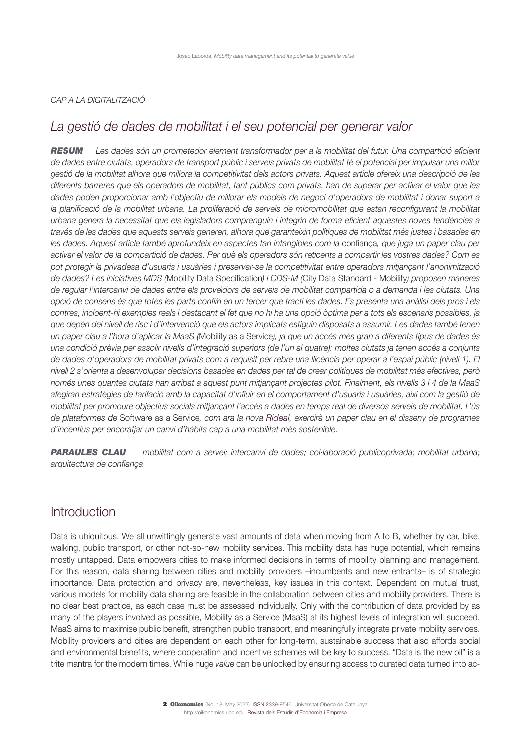#### *CAP A LA DIGITALITZACIÓ*

# *La gestió de dades de mobilitat i el seu potencial per generar valor*

*RESUM Les dades són un prometedor element transformador per a la mobilitat del futur. Una compartició eficient de dades entre ciutats, operadors de transport públic i serveis privats de mobilitat té el potencial per impulsar una millor gestió de la mobilitat alhora que millora la competitivitat dels actors privats. Aquest article ofereix una descripció de les diferents barreres que els operadors de mobilitat, tant públics com privats, han de superar per activar el valor que les dades poden proporcionar amb l'objectiu de millorar els models de negoci d'operadors de mobilitat i donar suport a*  la planificació de la mobilitat urbana. La proliferació de serveis de micromobilitat que estan reconfigurant la mobilitat *urbana genera la necessitat que els legisladors comprenguin i integrin de forma eficient aquestes noves tendències a través de les dades que aquests serveis generen, alhora que garanteixin polítiques de mobilitat més justes i basades en les dades. Aquest article també aprofundeix en aspectes tan intangibles com la* confiança*, que juga un paper clau per activar el valor de la compartició de dades. Per què els operadors són reticents a compartir les vostres dades? Com es pot protegir la privadesa d'usuaris i usuàries i preservar-se la competitivitat entre operadors mitjançant l'anonimització de dades? Les iniciatives MDS (*Mobility Data Specification*) i CDS-M (*City Data Standard - Mobility*) proposen maneres de regular l'intercanvi de dades entre els proveïdors de serveis de mobilitat compartida o a demanda i les ciutats. Una opció de consens és que totes les parts confiïn en un tercer que tracti les dades. Es presenta una anàlisi dels pros i els contres, incloent-hi exemples reals i destacant el fet que no hi ha una opció òptima per a tots els escenaris possibles, ja que depèn del nivell de risc i d'intervenció que els actors implicats estiguin disposats a assumir. Les dades també tenen un paper clau a l'hora d'aplicar la MaaS (*Mobility as a Service*), ja que un accés més gran a diferents tipus de dades és una condició prèvia per assolir nivells d'integració superiors (de l'un al quatre): moltes ciutats ja tenen accés a conjunts de dades d'operadors de mobilitat privats com a requisit per rebre una llicència per operar a l'espai públic (nivell 1). El nivell 2 s'orienta a desenvolupar decisions basades en dades per tal de crear polítiques de mobilitat més efectives, però només unes quantes ciutats han arribat a aquest punt mitjançant projectes pilot. Finalment, els nivells 3 i 4 de la MaaS afegiran estratègies de tarifació amb la capacitat d'influir en el comportament d'usuaris i usuàries, així com la gestió de mobilitat per promoure objectius socials mitjançant l'accés a dades en temps real de diversos serveis de mobilitat. L'ús de plataformes de* Software as a Service*, com ara la nova [Rideal,](https://rideal.mobi) exercirà un paper clau en el disseny de programes d'incentius per encoratjar un canvi d'hàbits cap a una mobilitat més sostenible.*

*PARAULES CLAU mobilitat com a servei; intercanvi de dades; col·laboració publicoprivada; mobilitat urbana; arquitectura de confiança*

## Introduction

Data is ubiquitous. We all unwittingly generate vast amounts of data when moving from A to B, whether by car, bike, walking, public transport, or other not-so-new mobility services. This mobility data has huge potential, which remains mostly untapped. Data empowers cities to make informed decisions in terms of mobility planning and management. For this reason, data sharing between cities and mobility providers –incumbents and new entrants– is of strategic importance. Data protection and privacy are, nevertheless, key issues in this context. Dependent on mutual trust, various models for mobility data sharing are feasible in the collaboration between cities and mobility providers. There is no clear best practice, as each case must be assessed individually. Only with the contribution of data provided by as many of the players involved as possible, Mobility as a Service (MaaS) at its highest levels of integration will succeed. MaaS aims to maximise public benefit, strengthen public transport, and meaningfully integrate private mobility services. Mobility providers and cities are dependent on each other for long-term, sustainable success that also affords social and environmental benefits, where cooperation and incentive schemes will be key to success. "Data is the new oil" is a trite mantra for the modern times. While huge *value* can be unlocked by ensuring access to curated data turned into ac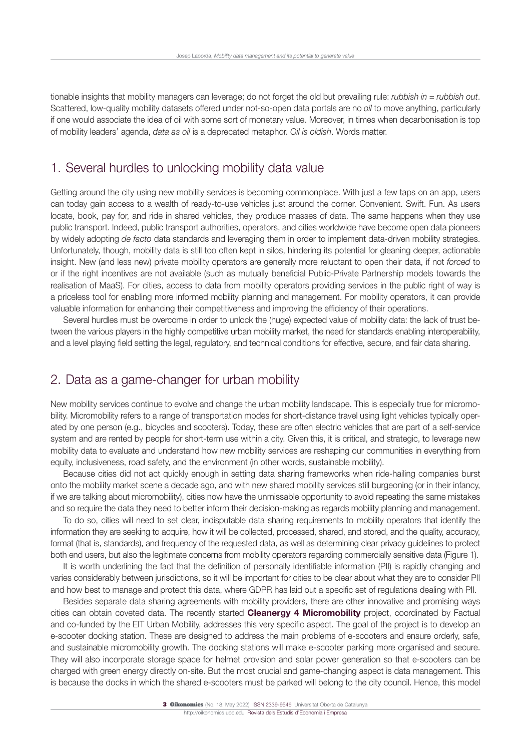tionable insights that mobility managers can leverage; do not forget the old but prevailing rule: *rubbish in* = *rubbish out*. Scattered, low-quality mobility datasets offered under not-so-open data portals are no *oil* to move anything, particularly if one would associate the idea of oil with some sort of monetary value. Moreover, in times when decarbonisation is top of mobility leaders' agenda, *data as oil* is a deprecated metaphor. *Oil is oldish*. Words matter.

## 1. Several hurdles to unlocking mobility data value

Getting around the city using new mobility services is becoming commonplace. With just a few taps on an app, users can today gain access to a wealth of ready-to-use vehicles just around the corner. Convenient. Swift. Fun. As users locate, book, pay for, and ride in shared vehicles, they produce masses of data. The same happens when they use public transport. Indeed, public transport authorities, operators, and cities worldwide have become open data pioneers by widely adopting *de facto* data standards and leveraging them in order to implement data-driven mobility strategies. Unfortunately, though, mobility data is still too often kept in silos, hindering its potential for gleaning deeper, actionable insight. New (and less new) private mobility operators are generally more reluctant to open their data, if not *forced* to or if the right incentives are not available (such as mutually beneficial Public-Private Partnership models towards the realisation of MaaS). For cities, access to data from mobility operators providing services in the public right of way is a priceless tool for enabling more informed mobility planning and management. For mobility operators, it can provide valuable information for enhancing their competitiveness and improving the efficiency of their operations.

Several hurdles must be overcome in order to unlock the (huge) expected value of mobility data: the lack of trust between the various players in the highly competitive urban mobility market, the need for standards enabling interoperability, and a level playing field setting the legal, regulatory, and technical conditions for effective, secure, and fair data sharing.

### 2. Data as a game-changer for urban mobility

New mobility services continue to evolve and change the urban mobility landscape. This is especially true for micromobility. Micromobility refers to a range of transportation modes for short-distance travel using light vehicles typically operated by one person (e.g., bicycles and scooters). Today, these are often electric vehicles that are part of a self-service system and are rented by people for short-term use within a city. Given this, it is critical, and strategic, to leverage new mobility data to evaluate and understand how new mobility services are reshaping our communities in everything from equity, inclusiveness, road safety, and the environment (in other words, sustainable mobility).

Because cities did not act quickly enough in setting data sharing frameworks when ride-hailing companies burst onto the mobility market scene a decade ago, and with new shared mobility services still burgeoning (or in their infancy, if we are talking about micromobility), cities now have the unmissable opportunity to avoid repeating the same mistakes and so require the data they need to better inform their decision-making as regards mobility planning and management.

To do so, cities will need to set clear, indisputable data sharing requirements to mobility operators that identify the information they are seeking to acquire, how it will be collected, processed, shared, and stored, and the quality, accuracy, format (that is, standards), and frequency of the requested data, as well as determining clear privacy guidelines to protect both end users, but also the legitimate concerns from mobility operators regarding commercially sensitive data (Figure 1).

It is worth underlining the fact that the definition of personally identifiable information (PII) is rapidly changing and varies considerably between jurisdictions, so it will be important for cities to be clear about what they are to consider PII and how best to manage and protect this data, where GDPR has laid out a specific set of regulations dealing with PII.

Besides separate data sharing agreements with mobility providers, there are other innovative and promising ways cities can obtain coveted data. The recently started **[Cleanergy 4 Micromobility](https://cleanergy.mobi/)** project, coordinated by Factual and co-funded by the EIT Urban Mobility, addresses this very specific aspect. The goal of the project is to develop an e-scooter docking station. These are designed to address the main problems of e-scooters and ensure orderly, safe, and sustainable micromobility growth. The docking stations will make e-scooter parking more organised and secure. They will also incorporate storage space for helmet provision and solar power generation so that e-scooters can be charged with green energy directly on-site. But the most crucial and game-changing aspect is data management. This is because the docks in which the shared e-scooters must be parked will belong to the city council. Hence, this model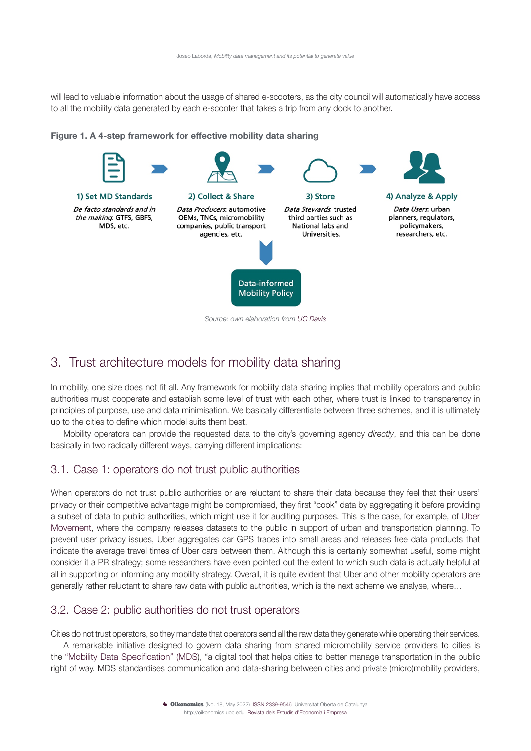will lead to valuable information about the usage of shared e-scooters, as the city council will automatically have access to all the mobility data generated by each e-scooter that takes a trip from any dock to another.

Figure 1. A 4-step framework for effective mobility data sharing



# 3. Trust architecture models for mobility data sharing

In mobility, one size does not fit all. Any framework for mobility data sharing implies that mobility operators and public authorities must cooperate and establish some level of trust with each other, where trust is linked to transparency in principles of purpose, use and data minimisation. We basically differentiate between three schemes, and it is ultimately up to the cities to define which model suits them best.

Mobility operators can provide the requested data to the city's governing agency *directly*, and this can be done basically in two radically different ways, carrying different implications:

### 3.1. Case 1: operators do not trust public authorities

When operators do not trust public authorities or are reluctant to share their data because they feel that their users' privacy or their competitive advantage might be compromised, they first "cook" data by aggregating it before providing a subset of data to public authorities, which might use it for auditing purposes. This is the case, for example, of [Uber](https://movement.uber.com/)  [Movement](https://movement.uber.com/), where the company releases datasets to the public in support of urban and transportation planning. To prevent user privacy issues, Uber aggregates car GPS traces into small areas and releases free data products that indicate the average travel times of Uber cars between them. Although this is certainly somewhat useful, some might consider it a PR strategy; some researchers have even pointed out the extent to which such data is actually helpful at all in supporting or informing any mobility strategy. Overall, it is quite evident that Uber and other mobility operators are generally rather reluctant to share raw data with public authorities, which is the next scheme we analyse, where…

### 3.2. Case 2: public authorities do not trust operators

Cities do not trust operators, so they mandate that operators send all the raw data they generate while operating their services.

A remarkable initiative designed to govern data sharing from shared micromobility service providers to cities is the ["Mobility Data Specification" \(MDS\)](https://www.openmobilityfoundation.org/about-mds/), "a digital tool that helps cities to better manage transportation in the public right of way. MDS standardises communication and data-sharing between cities and private (micro)mobility providers,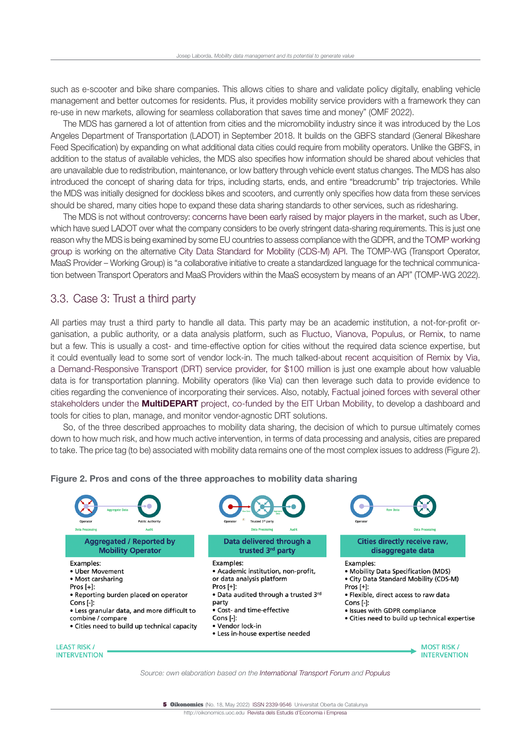such as e-scooter and bike share companies. This allows cities to share and validate policy digitally, enabling vehicle management and better outcomes for residents. Plus, it provides mobility service providers with a framework they can re-use in new markets, allowing for seamless collaboration that saves time and money" (OMF 2022).

The MDS has garnered a lot of attention from cities and the micromobility industry since it was introduced by the Los Angeles Department of Transportation (LADOT) in September 2018. It builds on the GBFS standard (General Bikeshare Feed Specification) by expanding on what additional data cities could require from mobility operators. Unlike the GBFS, in addition to the status of available vehicles, the MDS also specifies how information should be shared about vehicles that are unavailable due to redistribution, maintenance, or low battery through vehicle event status changes. The MDS has also introduced the concept of sharing data for trips, including starts, ends, and entire "breadcrumb" trip trajectories. While the MDS was initially designed for dockless bikes and scooters, and currently only specifies how data from these services should be shared, many cities hope to expand these data sharing standards to other services, such as ridesharing.

The MDS is not without controversy: [concerns have been early raised by major players in the market, such as Uber,](https://www.smartcitiesdive.com/news/uber-jump-sues-los-angeles-mobility-data-sharing-requirement/574893/) which have sued LADOT over what the company considers to be overly stringent data-sharing requirements. This is just one reason why the MDS is being examined by some EU countries to assess compliance with the GDPR, and the [TOMP working](https://tomp-wg.org/)  [group](https://tomp-wg.org/) is working on the alternative [City Data Standard for Mobility \(CDS-M\) API.](https://github.com/CDSM-WG/CDS-M) The TOMP-WG (Transport Operator, MaaS Provider – Working Group) is "a collaborative initiative to create a standardized language for the technical communication between Transport Operators and MaaS Providers within the MaaS ecosystem by means of an API" (TOMP-WG 2022).

#### 3.3. Case 3: Trust a third party

All parties may trust a third party to handle all data. This party may be an academic institution, a not-for-profit organisation, a public authority, or a data analysis platform, such as [Fluctuo](https://fluctuo.com/), [Vianova](https://www.vianova.io/), [Populus,](https://www.populus.ai/) or [Remix](https://www.remix.com/), to name but a few. This is usually a cost- and time-effective option for cities without the required data science expertise, but it could eventually lead to some sort of vendor lock-in. The much talked-about [recent acquisition of Remix by Via,](https://techcrunch.com/2021/03/09/via-buys-mapping-startup-remix-for-100-million/)  [a Demand-Responsive Transport \(DRT\) service provider, for \\$100 million](https://techcrunch.com/2021/03/09/via-buys-mapping-startup-remix-for-100-million/) is just one example about how valuable data is for transportation planning. Mobility operators (like Via) can then leverage such data to provide evidence to cities regarding the convenience of incorporating their services. Also, notably, [Factual joined forces with several other](https://www.linkedin.com/posts/factualconsulting_innovation-urbanmobility-publictransport-activity-6831207326217728000-I2W0)  stakeholders under the **MultiDEPART** [project, co-funded by the EIT Urban Mobility,](https://www.linkedin.com/posts/factualconsulting_innovation-urbanmobility-publictransport-activity-6831207326217728000-I2W0) to develop a dashboard and tools for cities to plan, manage, and monitor vendor-agnostic DRT solutions.

So, of the three described approaches to mobility data sharing, the decision of which to pursue ultimately comes down to how much risk, and how much active intervention, in terms of data processing and analysis, cities are prepared to take. The price tag (to be) associated with mobility data remains one of the most complex issues to address (Figure 2).



#### Figure 2. Pros and cons of the three approaches to mobility data sharing

*Source: own elaboration based on the [International Transport Forum](https://www.itf-oecd.org/) and [Populus](https://www.populus.ai/)*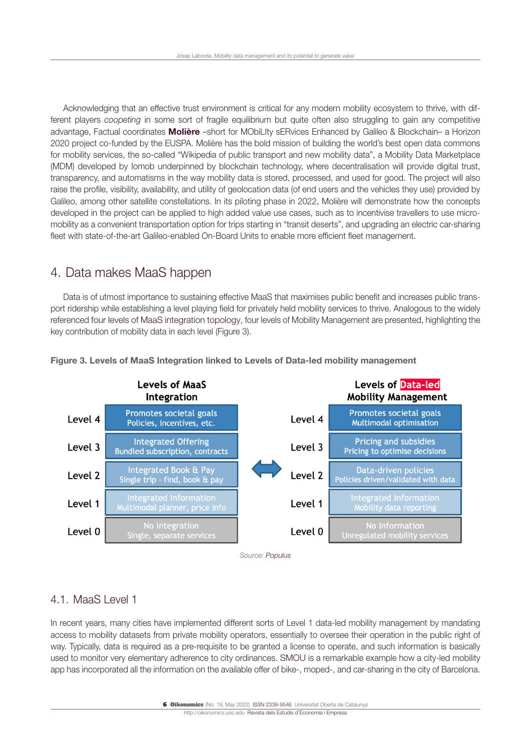Acknowledging that an effective trust environment is critical for any modern mobility ecosystem to thrive, with different players *coopeting* in some sort of fragile equilibrium but quite often also struggling to gain any competitive advantage, Factual coordinates [Molière](https://moliere-project.eu/) –short for MObiLIty sERvices Enhanced by Galileo & Blockchain– a Horizon 2020 project co-funded by the EUSPA. Molière has the bold mission of building the world's best open data commons for mobility services, the so-called "Wikipedia of public transport and new mobility data", a Mobility Data Marketplace (MDM) developed by Iomob underpinned by blockchain technology, where decentralisation will provide digital trust, transparency, and automatisms in the way mobility data is stored, processed, and used for good. The project will also raise the profile, visibility, availability, and utility of geolocation data (of end users and the vehicles they use) provided by Galileo, among other satellite constellations. In its piloting phase in 2022, Molière will demonstrate how the concepts developed in the project can be applied to high added value use cases, such as to incentivise travellers to use micromobility as a convenient transportation option for trips starting in "transit deserts", and upgrading an electric car-sharing fleet with state-of-the-art Galileo-enabled On-Board Units to enable more efficient fleet management.

# 4. Data makes MaaS happen

Data is of utmost importance to sustaining effective MaaS that maximises public benefit and increases public transport ridership while establishing a level playing field for privately held mobility services to thrive. Analogous to the widely referenced [four levels of MaaS integration topology,](https://www.researchgate.net/publication/320107637_A_topological_approach_to_Mobility_as_a_Service_A_proposed_tool_for_understanding_requirements_and_effects_and_for_aiding_the_integration_of_societal_goals) four levels of Mobility Management are presented, highlighting the key contribution of mobility data in each level (Figure 3).



Figure 3. Levels of MaaS Integration linked to Levels of Data-led mobility management

*Source: [Populus](https://www.populus.ai/)*

### 4.1. MaaS Level 1

In recent years, many cities have implemented different sorts of Level 1 data-led mobility management by mandating access to mobility datasets from private mobility operators, essentially to oversee their operation in the public right of way. Typically, data is required as a pre-requisite to be granted a license to operate, and such information is basically used to monitor very elementary adherence to city ordinances. [SMOU](https://www.smou.cat/en/home) is a remarkable example how a city-led mobility app has incorporated all the information on the available offer of bike-, moped-, and car-sharing in the city of Barcelona.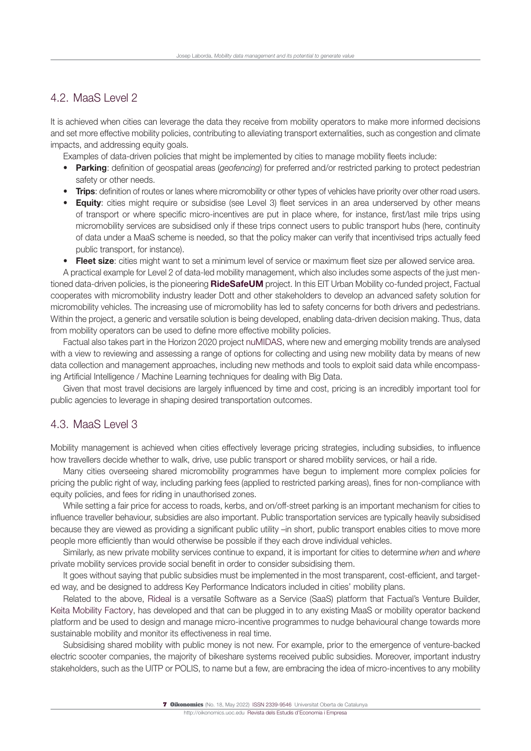### 4.2. MaaS Level 2

It is achieved when cities can leverage the data they receive from mobility operators to make more informed decisions and set more effective mobility policies, contributing to alleviating transport externalities, such as congestion and climate impacts, and addressing equity goals.

Examples of data-driven policies that might be implemented by cities to manage mobility fleets include:

- **Parking:** definition of geospatial areas (*geofencing*) for preferred and/or restricted parking to protect pedestrian safety or other needs.
- Trips: definition of routes or lanes where micromobility or other types of vehicles have priority over other road users.
- Equity: cities might require or subsidise (see Level 3) fleet services in an area underserved by other means of transport or where specific micro-incentives are put in place where, for instance, first/last mile trips using micromobility services are subsidised only if these trips connect users to public transport hubs (here, continuity of data under a MaaS scheme is needed, so that the policy maker can verify that incentivised trips actually feed public transport, for instance).
- Fleet size: cities might want to set a minimum level of service or maximum fleet size per allowed service area.

A practical example for Level 2 of data-led mobility management, which also includes some aspects of the just men-tioned data-driven policies, is the pioneering [RideSafeUM](https://ridesafeum.com/) project. In this EIT Urban Mobility co-funded project, Factual cooperates with micromobility industry leader Dott and other stakeholders to develop an advanced safety solution for micromobility vehicles. The increasing use of micromobility has led to safety concerns for both drivers and pedestrians. Within the project, a generic and versatile solution is being developed, enabling data-driven decision making. Thus, data from mobility operators can be used to define more effective mobility policies.

Factual also takes part in the Horizon 2020 project [nuMIDAS,](https://numidas.eu/) where new and emerging mobility trends are analysed with a view to reviewing and assessing a range of options for collecting and using new mobility data by means of new data collection and management approaches, including new methods and tools to exploit said data while encompassing Artificial Intelligence / Machine Learning techniques for dealing with Big Data.

Given that most travel decisions are largely influenced by time and cost, pricing is an incredibly important tool for public agencies to leverage in shaping desired transportation outcomes.

#### 4.3. MaaS Level 3

Mobility management is achieved when cities effectively leverage pricing strategies, including subsidies, to influence how travellers decide whether to walk, drive, use public transport or shared mobility services, or hail a ride.

Many cities overseeing shared micromobility programmes have begun to implement more complex policies for pricing the public right of way, including parking fees (applied to restricted parking areas), fines for non-compliance with equity policies, and fees for riding in unauthorised zones.

While setting a fair price for access to roads, kerbs, and on/off-street parking is an important mechanism for cities to influence traveller behaviour, subsidies are also important. Public transportation services are typically heavily subsidised because they are viewed as providing a significant public utility –in short, public transport enables cities to move more people more efficiently than would otherwise be possible if they each drove individual vehicles.

Similarly, as new private mobility services continue to expand, it is important for cities to determine *when* and *where*  private mobility services provide social benefit in order to consider subsidising them.

It goes without saying that public subsidies must be implemented in the most transparent, cost-efficient, and targeted way, and be designed to address Key Performance Indicators included in cities' mobility plans.

Related to the above, [Rideal](https://rideal.mobi/) is a versatile Software as a Service (SaaS) platform that Factual's Venture Builder, [Keita Mobility Factory](https://keita.mobi/), has developed and that can be plugged in to any existing MaaS or mobility operator backend platform and be used to design and manage micro-incentive programmes to nudge behavioural change towards more sustainable mobility and monitor its effectiveness in real time.

Subsidising shared mobility with public money is not new. For example, prior to the emergence of venture-backed electric scooter companies, the majority of bikeshare systems received public subsidies. Moreover, important industry stakeholders, such as the UITP or POLIS, to name but a few, are embracing the idea of micro-incentives to any mobility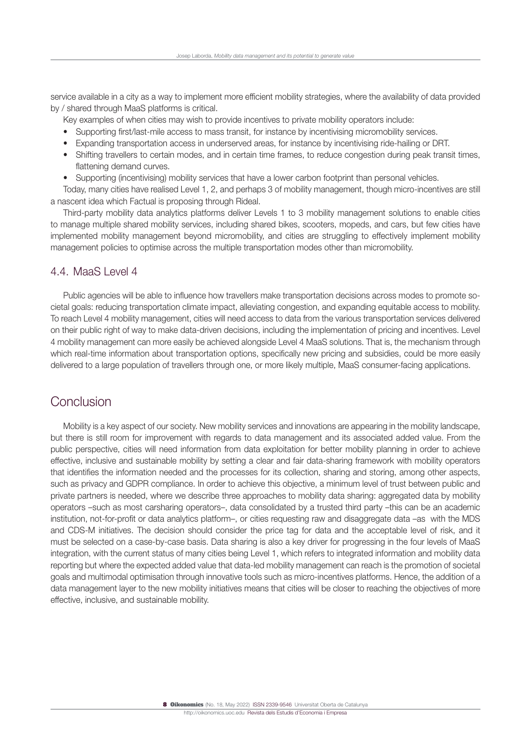service available in a city as a way to implement more efficient mobility strategies, where the availability of data provided by / shared through MaaS platforms is critical.

- Key examples of when cities may wish to provide incentives to private mobility operators include:
- Supporting first/last-mile access to mass transit, for instance by incentivising micromobility services.
- Expanding transportation access in underserved areas, for instance by incentivising ride-hailing or DRT.
- Shifting travellers to certain modes, and in certain time frames, to reduce congestion during peak transit times, flattening demand curves.
- Supporting (incentivising) mobility services that have a lower carbon footprint than personal vehicles.

Today, many cities have realised Level 1, 2, and perhaps 3 of mobility management, though micro-incentives are still a nascent idea which Factual is proposing through Rideal.

Third-party mobility data analytics platforms deliver Levels 1 to 3 mobility management solutions to enable cities to manage multiple shared mobility services, including shared bikes, scooters, mopeds, and cars, but few cities have implemented mobility management beyond micromobility, and cities are struggling to effectively implement mobility management policies to optimise across the multiple transportation modes other than micromobility.

### 4.4. MaaS Level 4

Public agencies will be able to influence how travellers make transportation decisions across modes to promote societal goals: reducing transportation climate impact, alleviating congestion, and expanding equitable access to mobility. To reach Level 4 mobility management, cities will need access to data from the various transportation services delivered on their public right of way to make data-driven decisions, including the implementation of pricing and incentives. Level 4 mobility management can more easily be achieved alongside Level 4 MaaS solutions. That is, the mechanism through which real-time information about transportation options, specifically new pricing and subsidies, could be more easily delivered to a large population of travellers through one, or more likely multiple, MaaS consumer-facing applications.

## **Conclusion**

Mobility is a key aspect of our society. New mobility services and innovations are appearing in the mobility landscape, but there is still room for improvement with regards to data management and its associated added value. From the public perspective, cities will need information from data exploitation for better mobility planning in order to achieve effective, inclusive and sustainable mobility by setting a clear and fair data-sharing framework with mobility operators that identifies the information needed and the processes for its collection, sharing and storing, among other aspects, such as privacy and GDPR compliance. In order to achieve this objective, a minimum level of trust between public and private partners is needed, where we describe three approaches to mobility data sharing: aggregated data by mobility operators –such as most carsharing operators–, data consolidated by a trusted third party –this can be an academic institution, not-for-profit or data analytics platform–, or cities requesting raw and disaggregate data –as with the MDS and CDS-M initiatives. The decision should consider the price tag for data and the acceptable level of risk, and it must be selected on a case-by-case basis. Data sharing is also a key driver for progressing in the four levels of MaaS integration, with the current status of many cities being Level 1, which refers to integrated information and mobility data reporting but where the expected added value that data-led mobility management can reach is the promotion of societal goals and multimodal optimisation through innovative tools such as micro-incentives platforms. Hence, the addition of a data management layer to the new mobility initiatives means that cities will be closer to reaching the objectives of more effective, inclusive, and sustainable mobility.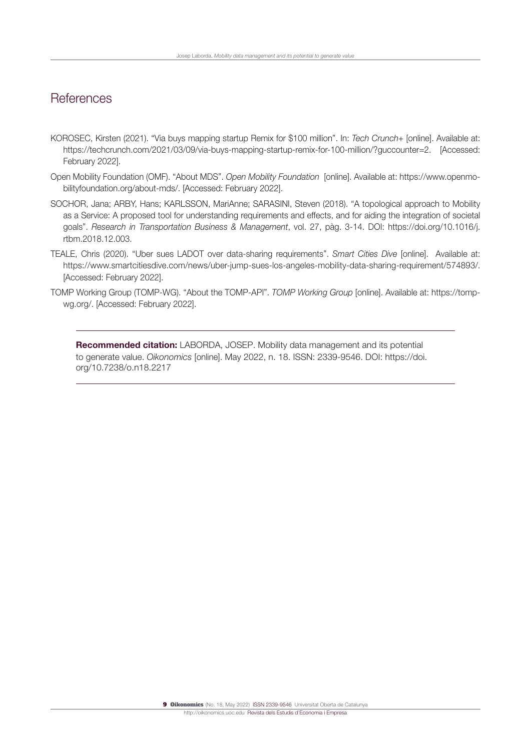## **References**

- KOROSEC, Kirsten (2021). "Via buys mapping startup Remix for \$100 million". In: *Tech Crunch+* [online]. Available at: <https://techcrunch.com/2021/03/09/via-buys-mapping-startup-remix-for-100-million/?guccounter=2>. [Accessed: February 2022].
- Open Mobility Foundation (OMF). "About MDS". *Open Mobility Foundation* [online]. Available at: [https://www.openmo](https://www.openmobilityfoundation.org/about-mds/)[bilityfoundation.org/about-mds/.](https://www.openmobilityfoundation.org/about-mds/) [Accessed: February 2022].
- SOCHOR, Jana; ARBY, Hans; KARLSSON, MariAnne; SARASINI, Steven (2018). "A topological approach to Mobility as a Service: A proposed tool for understanding requirements and effects, and for aiding the integration of societal goals". *Research in Transportation Business & Management*, vol. 27, pàg. 3-14. DOI: [https://doi.org/10.1016/j.](https://doi.org/10.1016/j.rtbm.2018.12.003) [rtbm.2018.12.003](https://doi.org/10.1016/j.rtbm.2018.12.003).
- TEALE, Chris (2020). "Uber sues LADOT over data-sharing requirements". *Smart Cities Dive* [online]. Available at: [https://www.smartcitiesdive.com/news/uber-jump-sues-los-angeles-mobility-data-sharing-requirement/574893/.](https://www.smartcitiesdive.com/news/uber-jump-sues-los-angeles-mobility-data-sharing-requirement/574893/) [Accessed: February 2022].
- TOMP Working Group (TOMP-WG). "About the TOMP-API". *TOMP Working Group* [online]. Available at: https://tompwg.org/. [Accessed: February 2022].

Recommended citation: LABORDA, JOSEP. Mobility data management and its potential to generate value. *Oikonomics* [online]. May 2022, n. 18. ISSN: 2339-9546. DOI: [https://doi.](https://doi.org/10.7238/o.n18.2217) [org/10.7238/o.n18.2](https://doi.org/10.7238/o.n18.2217)217